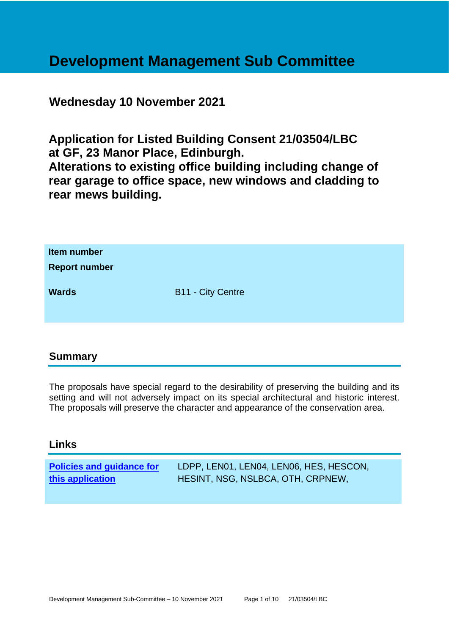# **Development Management Sub Committee**

# **Wednesday 10 November 2021**

**Application for Listed Building Consent 21/03504/LBC at GF, 23 Manor Place, Edinburgh.**

**Alterations to existing office building including change of rear garage to office space, new windows and cladding to rear mews building.**

| Item number<br><b>Report number</b> |                          |
|-------------------------------------|--------------------------|
| <b>Wards</b>                        | <b>B11 - City Centre</b> |

# **Summary**

The proposals have special regard to the desirability of preserving the building and its setting and will not adversely impact on its special architectural and historic interest. The proposals will preserve the character and appearance of the conservation area.

#### **Links**

| <b>Policies and guidance for</b> | LDPP, LEN01, LEN04, LEN06, HES, HESCON, |
|----------------------------------|-----------------------------------------|
| this application                 | HESINT, NSG, NSLBCA, OTH, CRPNEW,       |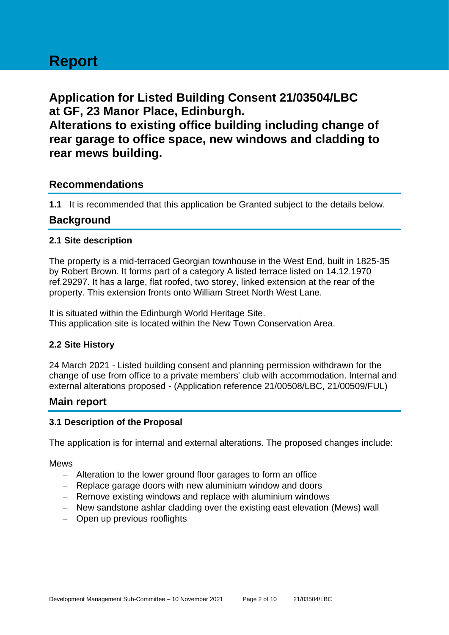# **Report**

**Application for Listed Building Consent 21/03504/LBC at GF, 23 Manor Place, Edinburgh.**

**Alterations to existing office building including change of rear garage to office space, new windows and cladding to rear mews building.**

## **Recommendations**

**1.1** It is recommended that this application be Granted subject to the details below.

## **Background**

#### **2.1 Site description**

The property is a mid-terraced Georgian townhouse in the West End, built in 1825-35 by Robert Brown. It forms part of a category A listed terrace listed on 14.12.1970 ref.29297. It has a large, flat roofed, two storey, linked extension at the rear of the property. This extension fronts onto William Street North West Lane.

It is situated within the Edinburgh World Heritage Site. This application site is located within the New Town Conservation Area.

#### **2.2 Site History**

24 March 2021 - Listed building consent and planning permission withdrawn for the change of use from office to a private members' club with accommodation. Internal and external alterations proposed - (Application reference 21/00508/LBC, 21/00509/FUL)

#### **Main report**

#### **3.1 Description of the Proposal**

The application is for internal and external alterations. The proposed changes include:

#### Mews

- − Alteration to the lower ground floor garages to form an office
- − Replace garage doors with new aluminium window and doors
- − Remove existing windows and replace with aluminium windows
- − New sandstone ashlar cladding over the existing east elevation (Mews) wall
- − Open up previous rooflights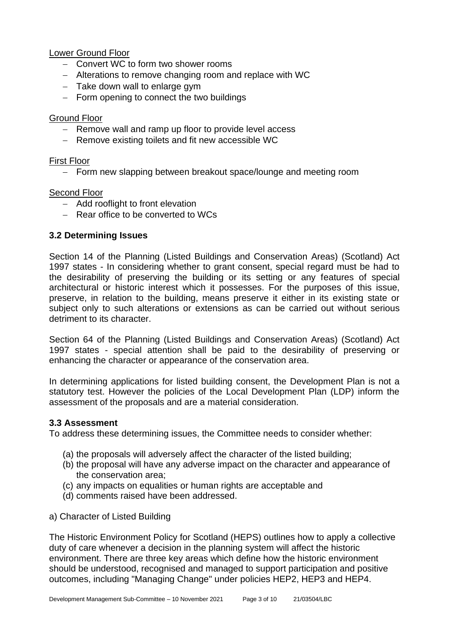#### Lower Ground Floor

- − Convert WC to form two shower rooms
- − Alterations to remove changing room and replace with WC
- − Take down wall to enlarge gym
- − Form opening to connect the two buildings

#### Ground Floor

- − Remove wall and ramp up floor to provide level access
- − Remove existing toilets and fit new accessible WC

#### First Floor

− Form new slapping between breakout space/lounge and meeting room

#### Second Floor

- − Add rooflight to front elevation
- − Rear office to be converted to WCs

#### **3.2 Determining Issues**

Section 14 of the Planning (Listed Buildings and Conservation Areas) (Scotland) Act 1997 states - In considering whether to grant consent, special regard must be had to the desirability of preserving the building or its setting or any features of special architectural or historic interest which it possesses. For the purposes of this issue, preserve, in relation to the building, means preserve it either in its existing state or subject only to such alterations or extensions as can be carried out without serious detriment to its character.

Section 64 of the Planning (Listed Buildings and Conservation Areas) (Scotland) Act 1997 states - special attention shall be paid to the desirability of preserving or enhancing the character or appearance of the conservation area.

In determining applications for listed building consent, the Development Plan is not a statutory test. However the policies of the Local Development Plan (LDP) inform the assessment of the proposals and are a material consideration.

#### **3.3 Assessment**

To address these determining issues, the Committee needs to consider whether:

- (a) the proposals will adversely affect the character of the listed building;
- (b) the proposal will have any adverse impact on the character and appearance of the conservation area;
- (c) any impacts on equalities or human rights are acceptable and
- (d) comments raised have been addressed.
- a) Character of Listed Building

The Historic Environment Policy for Scotland (HEPS) outlines how to apply a collective duty of care whenever a decision in the planning system will affect the historic environment. There are three key areas which define how the historic environment should be understood, recognised and managed to support participation and positive outcomes, including "Managing Change" under policies HEP2, HEP3 and HEP4.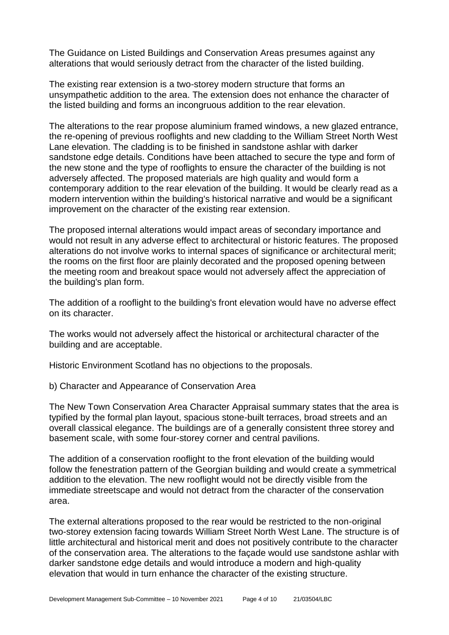The Guidance on Listed Buildings and Conservation Areas presumes against any alterations that would seriously detract from the character of the listed building.

The existing rear extension is a two-storey modern structure that forms an unsympathetic addition to the area. The extension does not enhance the character of the listed building and forms an incongruous addition to the rear elevation.

The alterations to the rear propose aluminium framed windows, a new glazed entrance, the re-opening of previous rooflights and new cladding to the William Street North West Lane elevation. The cladding is to be finished in sandstone ashlar with darker sandstone edge details. Conditions have been attached to secure the type and form of the new stone and the type of rooflights to ensure the character of the building is not adversely affected. The proposed materials are high quality and would form a contemporary addition to the rear elevation of the building. It would be clearly read as a modern intervention within the building's historical narrative and would be a significant improvement on the character of the existing rear extension.

The proposed internal alterations would impact areas of secondary importance and would not result in any adverse effect to architectural or historic features. The proposed alterations do not involve works to internal spaces of significance or architectural merit; the rooms on the first floor are plainly decorated and the proposed opening between the meeting room and breakout space would not adversely affect the appreciation of the building's plan form.

The addition of a rooflight to the building's front elevation would have no adverse effect on its character.

The works would not adversely affect the historical or architectural character of the building and are acceptable.

Historic Environment Scotland has no objections to the proposals.

b) Character and Appearance of Conservation Area

The New Town Conservation Area Character Appraisal summary states that the area is typified by the formal plan layout, spacious stone-built terraces, broad streets and an overall classical elegance. The buildings are of a generally consistent three storey and basement scale, with some four-storey corner and central pavilions.

The addition of a conservation rooflight to the front elevation of the building would follow the fenestration pattern of the Georgian building and would create a symmetrical addition to the elevation. The new rooflight would not be directly visible from the immediate streetscape and would not detract from the character of the conservation area.

The external alterations proposed to the rear would be restricted to the non-original two-storey extension facing towards William Street North West Lane. The structure is of little architectural and historical merit and does not positively contribute to the character of the conservation area. The alterations to the façade would use sandstone ashlar with darker sandstone edge details and would introduce a modern and high-quality elevation that would in turn enhance the character of the existing structure.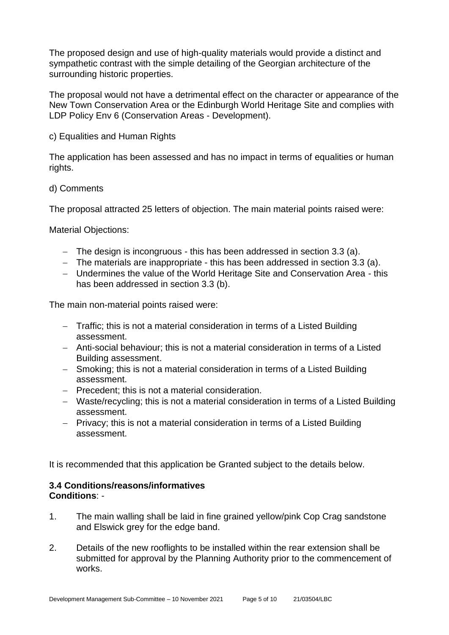The proposed design and use of high-quality materials would provide a distinct and sympathetic contrast with the simple detailing of the Georgian architecture of the surrounding historic properties.

The proposal would not have a detrimental effect on the character or appearance of the New Town Conservation Area or the Edinburgh World Heritage Site and complies with LDP Policy Env 6 (Conservation Areas - Development).

c) Equalities and Human Rights

The application has been assessed and has no impact in terms of equalities or human rights.

#### d) Comments

The proposal attracted 25 letters of objection. The main material points raised were:

Material Objections:

- − The design is incongruous this has been addressed in section 3.3 (a).
- − The materials are inappropriate this has been addressed in section 3.3 (a).
- − Undermines the value of the World Heritage Site and Conservation Area this has been addressed in section 3.3 (b).

The main non-material points raised were:

- − Traffic; this is not a material consideration in terms of a Listed Building assessment.
- − Anti-social behaviour; this is not a material consideration in terms of a Listed Building assessment.
- − Smoking; this is not a material consideration in terms of a Listed Building assessment.
- − Precedent; this is not a material consideration.
- − Waste/recycling; this is not a material consideration in terms of a Listed Building assessment.
- − Privacy; this is not a material consideration in terms of a Listed Building assessment.

It is recommended that this application be Granted subject to the details below.

#### **3.4 Conditions/reasons/informatives Conditions**: -

- 1. The main walling shall be laid in fine grained yellow/pink Cop Crag sandstone and Elswick grey for the edge band.
- 2. Details of the new rooflights to be installed within the rear extension shall be submitted for approval by the Planning Authority prior to the commencement of works.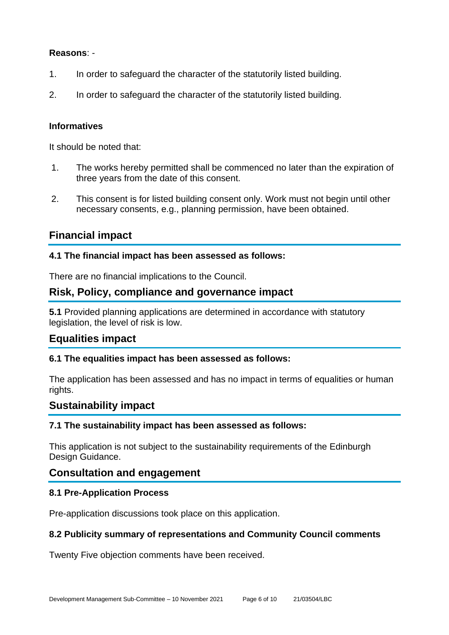#### **Reasons**: -

- 1. In order to safeguard the character of the statutorily listed building.
- 2. In order to safeguard the character of the statutorily listed building.

#### **Informatives**

It should be noted that:

- 1. The works hereby permitted shall be commenced no later than the expiration of three years from the date of this consent.
- 2. This consent is for listed building consent only. Work must not begin until other necessary consents, e.g., planning permission, have been obtained.

# **Financial impact**

#### **4.1 The financial impact has been assessed as follows:**

There are no financial implications to the Council.

# **Risk, Policy, compliance and governance impact**

**5.1** Provided planning applications are determined in accordance with statutory legislation, the level of risk is low.

#### **Equalities impact**

#### **6.1 The equalities impact has been assessed as follows:**

The application has been assessed and has no impact in terms of equalities or human rights.

#### **Sustainability impact**

#### **7.1 The sustainability impact has been assessed as follows:**

This application is not subject to the sustainability requirements of the Edinburgh Design Guidance.

# **Consultation and engagement**

#### **8.1 Pre-Application Process**

Pre-application discussions took place on this application.

#### **8.2 Publicity summary of representations and Community Council comments**

Twenty Five objection comments have been received.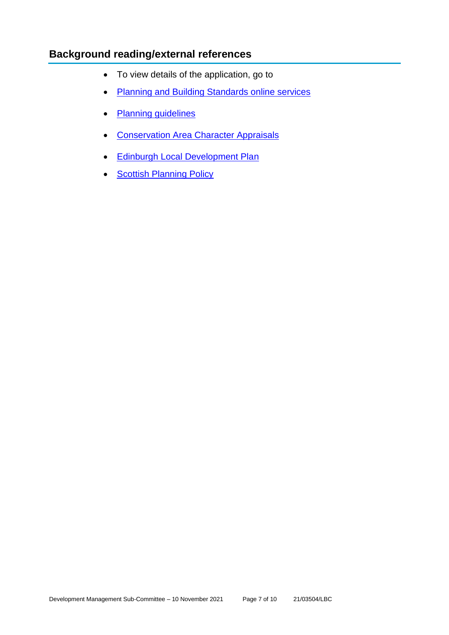# **Background reading/external references**

- To view details of the application, go to
- [Planning and Building Standards online services](https://citydev-portal.edinburgh.gov.uk/idoxpa-web/search.do?action=simple&searchType=Application)
- [Planning guidelines](http://www.edinburgh.gov.uk/planningguidelines)
- [Conservation Area Character Appraisals](http://www.edinburgh.gov.uk/characterappraisals)
- [Edinburgh Local Development Plan](http://www.edinburgh.gov.uk/localdevelopmentplan)
- **[Scottish Planning Policy](http://www.scotland.gov.uk/Topics/Built-Environment/planning/Policy)**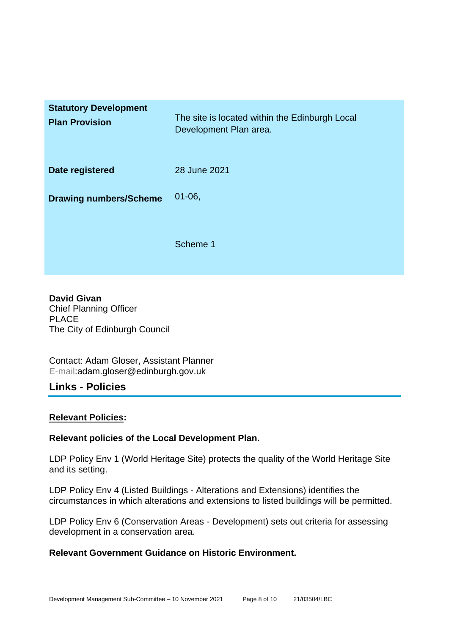| <b>Statutory Development</b><br><b>Plan Provision</b> | The site is located within the Edinburgh Local<br>Development Plan area. |
|-------------------------------------------------------|--------------------------------------------------------------------------|
| Date registered                                       | 28 June 2021                                                             |
| <b>Drawing numbers/Scheme</b>                         | $01 - 06$                                                                |
|                                                       | Scheme 1                                                                 |

**David Givan** Chief Planning Officer PLACE The City of Edinburgh Council

Contact: Adam Gloser, Assistant Planner E-mail:adam.gloser@edinburgh.gov.uk

# **Links - Policies**

#### **Relevant Policies:**

#### **Relevant policies of the Local Development Plan.**

LDP Policy Env 1 (World Heritage Site) protects the quality of the World Heritage Site and its setting.

LDP Policy Env 4 (Listed Buildings - Alterations and Extensions) identifies the circumstances in which alterations and extensions to listed buildings will be permitted.

LDP Policy Env 6 (Conservation Areas - Development) sets out criteria for assessing development in a conservation area.

#### **Relevant Government Guidance on Historic Environment.**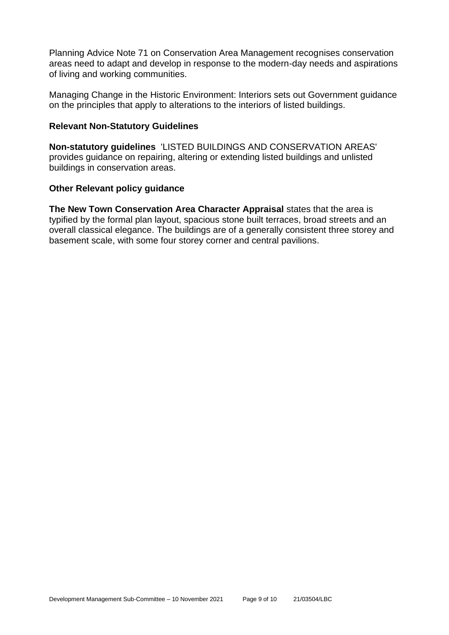Planning Advice Note 71 on Conservation Area Management recognises conservation areas need to adapt and develop in response to the modern-day needs and aspirations of living and working communities.

Managing Change in the Historic Environment: Interiors sets out Government guidance on the principles that apply to alterations to the interiors of listed buildings.

#### **Relevant Non-Statutory Guidelines**

**Non-statutory guidelines** 'LISTED BUILDINGS AND CONSERVATION AREAS' provides guidance on repairing, altering or extending listed buildings and unlisted buildings in conservation areas.

#### **Other Relevant policy guidance**

**The New Town Conservation Area Character Appraisal** states that the area is typified by the formal plan layout, spacious stone built terraces, broad streets and an overall classical elegance. The buildings are of a generally consistent three storey and basement scale, with some four storey corner and central pavilions.